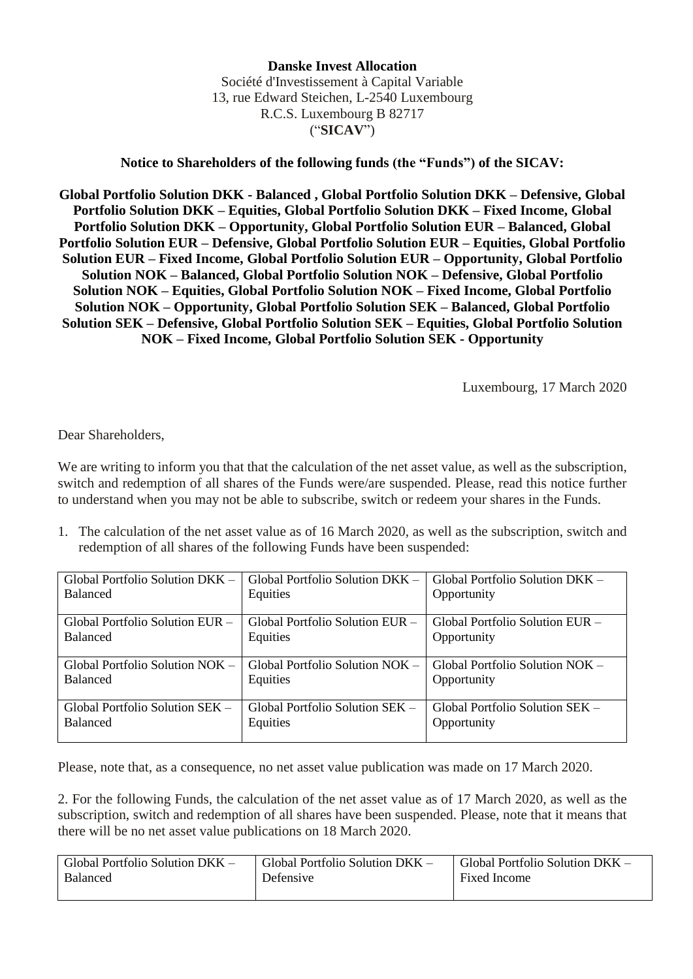## **Danske Invest Allocation** Société d'Investissement à Capital Variable 13, rue Edward Steichen, L-2540 Luxembourg R.C.S. Luxembourg B 82717 ("**SICAV**")

## **Notice to Shareholders of the following funds (the "Funds") of the SICAV:**

**Global Portfolio Solution DKK - Balanced , Global Portfolio Solution DKK – Defensive, Global Portfolio Solution DKK – Equities, Global Portfolio Solution DKK – Fixed Income, Global Portfolio Solution DKK – Opportunity, Global Portfolio Solution EUR – Balanced, Global Portfolio Solution EUR – Defensive, Global Portfolio Solution EUR – Equities, Global Portfolio Solution EUR – Fixed Income, Global Portfolio Solution EUR – Opportunity, Global Portfolio Solution NOK – Balanced, Global Portfolio Solution NOK – Defensive, Global Portfolio Solution NOK – Equities, Global Portfolio Solution NOK – Fixed Income, Global Portfolio Solution NOK – Opportunity, Global Portfolio Solution SEK – Balanced, Global Portfolio Solution SEK – Defensive, Global Portfolio Solution SEK – Equities, Global Portfolio Solution NOK – Fixed Income, Global Portfolio Solution SEK - Opportunity**

Luxembourg, 17 March 2020

Dear Shareholders,

We are writing to inform you that that the calculation of the net asset value, as well as the subscription, switch and redemption of all shares of the Funds were/are suspended. Please, read this notice further to understand when you may not be able to subscribe, switch or redeem your shares in the Funds.

1. The calculation of the net asset value as of 16 March 2020, as well as the subscription, switch and redemption of all shares of the following Funds have been suspended:

| Global Portfolio Solution $DKK -$ | Global Portfolio Solution DKK –   | Global Portfolio Solution DKK - |
|-----------------------------------|-----------------------------------|---------------------------------|
| <b>Balanced</b>                   | Equities                          | Opportunity                     |
| Global Portfolio Solution EUR –   | Global Portfolio Solution EUR –   | Global Portfolio Solution EUR – |
| <b>Balanced</b>                   | Equities                          | Opportunity                     |
| Global Portfolio Solution NOK -   | Global Portfolio Solution $NOK -$ | Global Portfolio Solution NOK - |
| <b>Balanced</b>                   | Equities                          | Opportunity                     |
| Global Portfolio Solution SEK -   | Global Portfolio Solution SEK –   | Global Portfolio Solution SEK – |
| <b>Balanced</b>                   | Equities                          | Opportunity                     |

Please, note that, as a consequence, no net asset value publication was made on 17 March 2020.

2. For the following Funds, the calculation of the net asset value as of 17 March 2020, as well as the subscription, switch and redemption of all shares have been suspended. Please, note that it means that there will be no net asset value publications on 18 March 2020.

| Global Portfolio Solution DKK $-$ | Global Portfolio Solution DKK – | Global Portfolio Solution $DKK -$ |
|-----------------------------------|---------------------------------|-----------------------------------|
| Balanced                          | Defensive                       | Fixed Income                      |
|                                   |                                 |                                   |